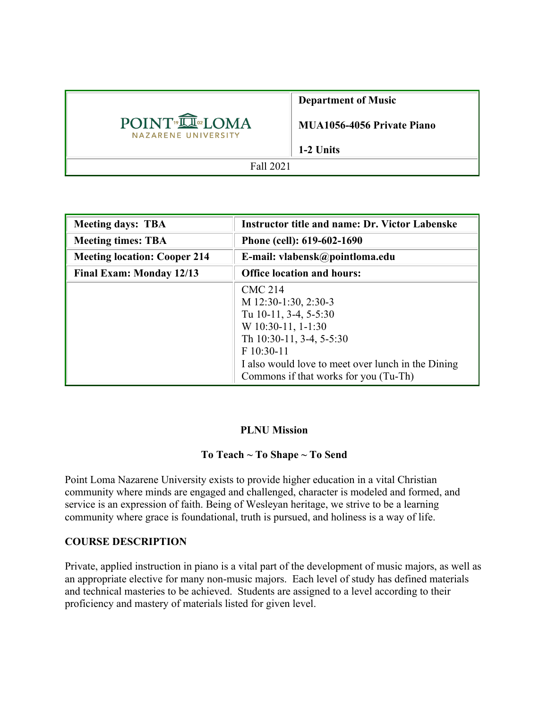|                                                              | <b>Department of Music</b>        |
|--------------------------------------------------------------|-----------------------------------|
| POINT <sup>®</sup> <b>LOMA</b><br><b>NAZARENE UNIVERSITY</b> | <b>MUA1056-4056 Private Piano</b> |
|                                                              | 1-2 Units                         |
| Fall 2021                                                    |                                   |

| <b>Meeting days: TBA</b>            | <b>Instructor title and name: Dr. Victor Labenske</b>                                                                                                                                                                            |  |
|-------------------------------------|----------------------------------------------------------------------------------------------------------------------------------------------------------------------------------------------------------------------------------|--|
| <b>Meeting times: TBA</b>           | Phone (cell): 619-602-1690                                                                                                                                                                                                       |  |
| <b>Meeting location: Cooper 214</b> | E-mail: vlabensk@pointloma.edu                                                                                                                                                                                                   |  |
| <b>Final Exam: Monday 12/13</b>     | <b>Office location and hours:</b>                                                                                                                                                                                                |  |
|                                     | <b>CMC 214</b><br>M 12:30-1:30, 2:30-3<br>Tu 10-11, 3-4, 5-5:30<br>$W$ 10:30-11, 1-1:30<br>Th 10:30-11, 3-4, 5-5:30<br>F 10:30-11<br>I also would love to meet over lunch in the Dining<br>Commons if that works for you (Tu-Th) |  |

## **PLNU Mission**

## **To Teach ~ To Shape ~ To Send**

Point Loma Nazarene University exists to provide higher education in a vital Christian community where minds are engaged and challenged, character is modeled and formed, and service is an expression of faith. Being of Wesleyan heritage, we strive to be a learning community where grace is foundational, truth is pursued, and holiness is a way of life.

# **COURSE DESCRIPTION**

Private, applied instruction in piano is a vital part of the development of music majors, as well as an appropriate elective for many non-music majors. Each level of study has defined materials and technical masteries to be achieved. Students are assigned to a level according to their proficiency and mastery of materials listed for given level.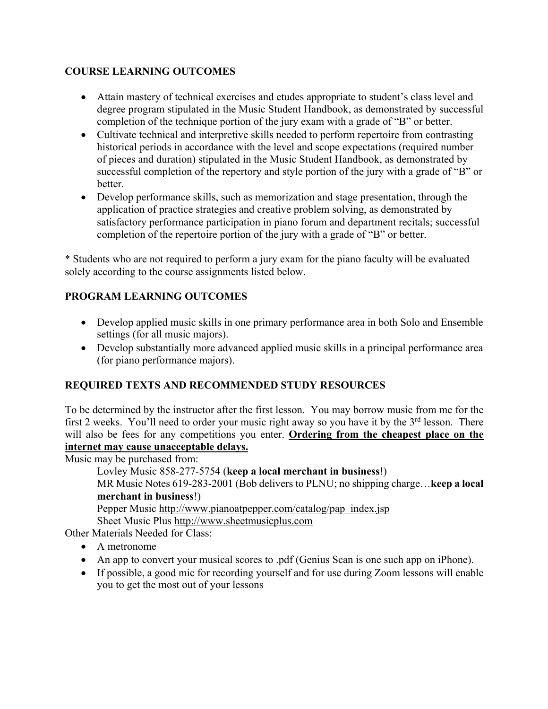# **COURSE LEARNING OUTCOMES**

- Attain mastery of technical exercises and etudes appropriate to student's class level and degree program stipulated in the Music Student Handbook, as demonstrated by successful completion of the technique portion of the jury exam with a grade of "B" or better.
- Cultivate technical and interpretive skills needed to perform repertoire from contrasting historical periods in accordance with the level and scope expectations (required number of pieces and duration) stipulated in the Music Student Handbook, as demonstrated by successful completion of the repertory and style portion of the jury with a grade of "B" or better.
- Develop performance skills, such as memorization and stage presentation, through the application of practice strategies and creative problem solving, as demonstrated by satisfactory performance participation in piano forum and department recitals; successful completion of the repertoire portion of the jury with a grade of "B" or better.

\* Students who are not required to perform a jury exam for the piano faculty will be evaluated solely according to the course assignments listed below.

# **PROGRAM LEARNING OUTCOMES**

- Develop applied music skills in one primary performance area in both Solo and Ensemble settings (for all music majors).
- Develop substantially more advanced applied music skills in a principal performance area (for piano performance majors).

# **REQUIRED TEXTS AND RECOMMENDED STUDY RESOURCES**

To be determined by the instructor after the first lesson. You may borrow music from me for the first 2 weeks. You'll need to order your music right away so you have it by the  $3<sup>rd</sup>$  lesson. There will also be fees for any competitions you enter. **Ordering from the cheapest place on the internet may cause unacceptable delays.**

Music may be purchased from:

```
Lovley Music 858-277-5754 (keep a local merchant in business!)
```
MR Music Notes 619-283-2001 (Bob delivers to PLNU; no shipping charge…**keep a local merchant in business**!)

Pepper Music http://www.pianoatpepper.com/catalog/pap\_index.jsp Sheet Music Plus http://www.sheetmusicplus.com

Other Materials Needed for Class:

- A metronome
- An app to convert your musical scores to .pdf (Genius Scan is one such app on iPhone).
- If possible, a good mic for recording yourself and for use during Zoom lessons will enable you to get the most out of your lessons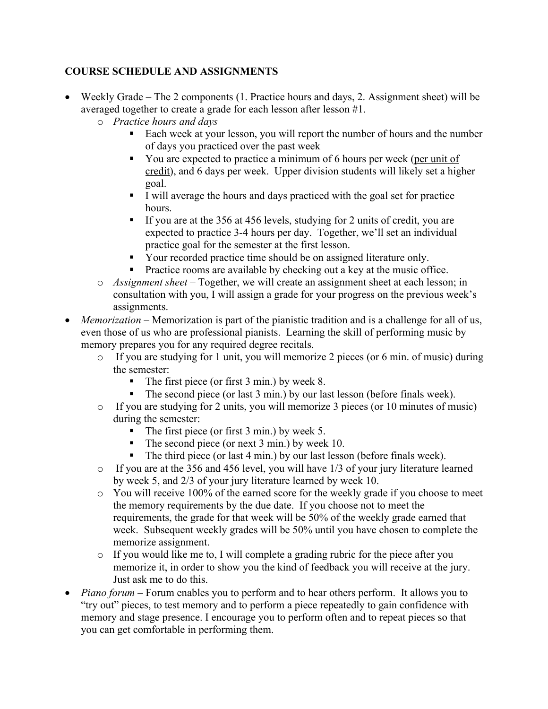# **COURSE SCHEDULE AND ASSIGNMENTS**

- Weekly Grade The 2 components (1. Practice hours and days, 2. Assignment sheet) will be averaged together to create a grade for each lesson after lesson #1.
	- o *Practice hours and days* 
		- Each week at your lesson, you will report the number of hours and the number of days you practiced over the past week
		- § You are expected to practice a minimum of 6 hours per week (per unit of credit), and 6 days per week. Upper division students will likely set a higher goal.
		- § I will average the hours and days practiced with the goal set for practice hours.
		- If you are at the 356 at 456 levels, studying for 2 units of credit, you are expected to practice 3-4 hours per day. Together, we'll set an individual practice goal for the semester at the first lesson.
		- Your recorded practice time should be on assigned literature only.
		- Practice rooms are available by checking out a key at the music office.
	- o *Assignment sheet –* Together, we will create an assignment sheet at each lesson; in consultation with you, I will assign a grade for your progress on the previous week's assignments.
- *Memorization* Memorization is part of the pianistic tradition and is a challenge for all of us, even those of us who are professional pianists. Learning the skill of performing music by memory prepares you for any required degree recitals.
	- o If you are studying for 1 unit, you will memorize 2 pieces (or 6 min. of music) during the semester:
		- The first piece (or first 3 min.) by week 8.
		- The second piece (or last 3 min.) by our last lesson (before finals week).
	- o If you are studying for 2 units, you will memorize 3 pieces (or 10 minutes of music) during the semester:
		- The first piece (or first 3 min.) by week 5.
		- The second piece (or next 3 min.) by week 10.
		- The third piece (or last 4 min.) by our last lesson (before finals week).
	- o If you are at the 356 and 456 level, you will have 1/3 of your jury literature learned by week 5, and 2/3 of your jury literature learned by week 10.
	- $\circ$  You will receive 100% of the earned score for the weekly grade if you choose to meet the memory requirements by the due date. If you choose not to meet the requirements, the grade for that week will be 50% of the weekly grade earned that week. Subsequent weekly grades will be 50% until you have chosen to complete the memorize assignment.
	- o If you would like me to, I will complete a grading rubric for the piece after you memorize it, in order to show you the kind of feedback you will receive at the jury. Just ask me to do this.
- *Piano forum –* Forum enables you to perform and to hear others perform. It allows you to "try out" pieces, to test memory and to perform a piece repeatedly to gain confidence with memory and stage presence. I encourage you to perform often and to repeat pieces so that you can get comfortable in performing them.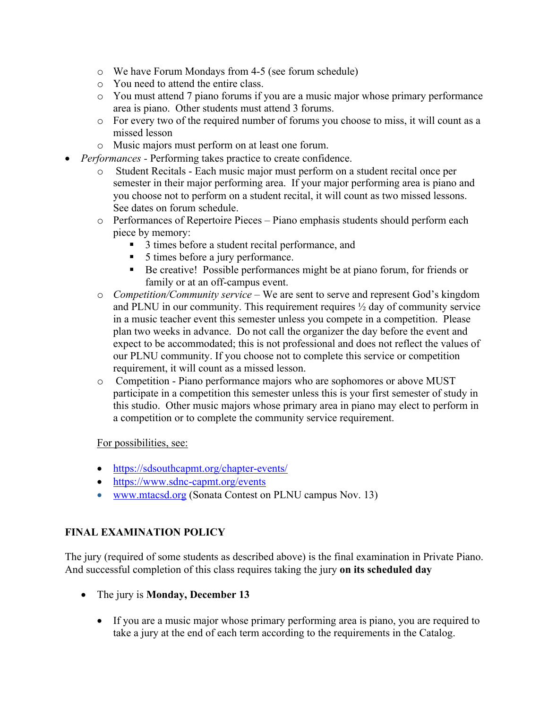- o We have Forum Mondays from 4-5 (see forum schedule)
- o You need to attend the entire class.
- o You must attend 7 piano forums if you are a music major whose primary performance area is piano. Other students must attend 3 forums.
- o For every two of the required number of forums you choose to miss, it will count as a missed lesson
- o Music majors must perform on at least one forum.
- *Performances -* Performing takes practice to create confidence.
	- o Student Recitals Each music major must perform on a student recital once per semester in their major performing area. If your major performing area is piano and you choose not to perform on a student recital, it will count as two missed lessons. See dates on forum schedule.
	- $\circ$  Performances of Repertoire Pieces Piano emphasis students should perform each piece by memory:
		- 3 times before a student recital performance, and
		- 5 times before a jury performance.
		- Be creative! Possible performances might be at piano forum, for friends or family or at an off-campus event.
	- o *Competition/Community service* We are sent to serve and represent God's kingdom and PLNU in our community. This requirement requires ½ day of community service in a music teacher event this semester unless you compete in a competition. Please plan two weeks in advance. Do not call the organizer the day before the event and expect to be accommodated; this is not professional and does not reflect the values of our PLNU community. If you choose not to complete this service or competition requirement, it will count as a missed lesson.
	- o Competition Piano performance majors who are sophomores or above MUST participate in a competition this semester unless this is your first semester of study in this studio. Other music majors whose primary area in piano may elect to perform in a competition or to complete the community service requirement.

For possibilities, see:

- https://sdsouthcapmt.org/chapter-events/
- https://www.sdnc-capmt.org/events
- www.mtacsd.org (Sonata Contest on PLNU campus Nov. 13)

## **FINAL EXAMINATION POLICY**

The jury (required of some students as described above) is the final examination in Private Piano. And successful completion of this class requires taking the jury **on its scheduled day** 

- The jury is **Monday, December 13**
	- If you are a music major whose primary performing area is piano, you are required to take a jury at the end of each term according to the requirements in the Catalog.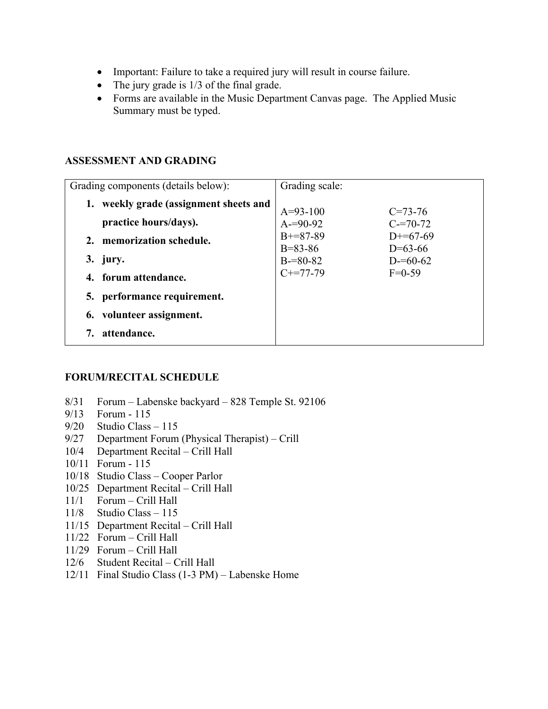- Important: Failure to take a required jury will result in course failure.
- The jury grade is  $1/3$  of the final grade.
- Forms are available in the Music Department Canvas page. The Applied Music Summary must be typed.

#### **ASSESSMENT AND GRADING**

| Grading components (details below):    | Grading scale:              |                         |
|----------------------------------------|-----------------------------|-------------------------|
| 1. weekly grade (assignment sheets and | $A=93-100$                  | $C = 73 - 76$           |
| practice hours/days).                  | $A = 90 - 92$               | $C = 70-72$             |
| memorization schedule.<br>2.           | $B+=87-89$<br>$B = 83 - 86$ | $D+=67-69$<br>$D=63-66$ |
| 3. jury.                               | $B = 80 - 82$               | $D = 60 - 62$           |
| 4. forum attendance.                   | $C+=77-79$                  | $F=0-59$                |
| 5. performance requirement.            |                             |                         |
| 6. volunteer assignment.               |                             |                         |
| attendance.                            |                             |                         |

#### **FORUM/RECITAL SCHEDULE**

- 8/31 Forum Labenske backyard 828 Temple St. 92106
- 9/13 Forum 115
- 9/20 Studio Class 115
- 9/27 Department Forum (Physical Therapist) Crill
- 10/4 Department Recital Crill Hall
- 10/11 Forum 115
- 10/18 Studio Class Cooper Parlor
- 10/25 Department Recital Crill Hall
- 11/1 Forum Crill Hall
- 11/8 Studio Class 115
- 11/15 Department Recital Crill Hall
- 11/22 Forum Crill Hall
- 11/29 Forum Crill Hall
- 12/6 Student Recital Crill Hall
- 12/11 Final Studio Class (1-3 PM) Labenske Home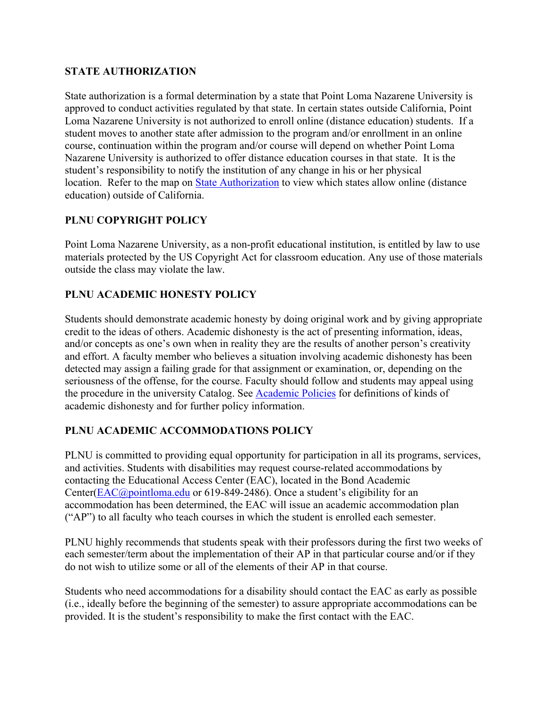## **STATE AUTHORIZATION**

State authorization is a formal determination by a state that Point Loma Nazarene University is approved to conduct activities regulated by that state. In certain states outside California, Point Loma Nazarene University is not authorized to enroll online (distance education) students. If a student moves to another state after admission to the program and/or enrollment in an online course, continuation within the program and/or course will depend on whether Point Loma Nazarene University is authorized to offer distance education courses in that state. It is the student's responsibility to notify the institution of any change in his or her physical location. Refer to the map on State Authorization to view which states allow online (distance education) outside of California.

## **PLNU COPYRIGHT POLICY**

Point Loma Nazarene University, as a non-profit educational institution, is entitled by law to use materials protected by the US Copyright Act for classroom education. Any use of those materials outside the class may violate the law.

## **PLNU ACADEMIC HONESTY POLICY**

Students should demonstrate academic honesty by doing original work and by giving appropriate credit to the ideas of others. Academic dishonesty is the act of presenting information, ideas, and/or concepts as one's own when in reality they are the results of another person's creativity and effort. A faculty member who believes a situation involving academic dishonesty has been detected may assign a failing grade for that assignment or examination, or, depending on the seriousness of the offense, for the course. Faculty should follow and students may appeal using the procedure in the university Catalog. See Academic Policies for definitions of kinds of academic dishonesty and for further policy information.

## **PLNU ACADEMIC ACCOMMODATIONS POLICY**

PLNU is committed to providing equal opportunity for participation in all its programs, services, and activities. Students with disabilities may request course-related accommodations by contacting the Educational Access Center (EAC), located in the Bond Academic Center(EAC@pointloma.edu or 619-849-2486). Once a student's eligibility for an accommodation has been determined, the EAC will issue an academic accommodation plan ("AP") to all faculty who teach courses in which the student is enrolled each semester.

PLNU highly recommends that students speak with their professors during the first two weeks of each semester/term about the implementation of their AP in that particular course and/or if they do not wish to utilize some or all of the elements of their AP in that course.

Students who need accommodations for a disability should contact the EAC as early as possible (i.e., ideally before the beginning of the semester) to assure appropriate accommodations can be provided. It is the student's responsibility to make the first contact with the EAC.